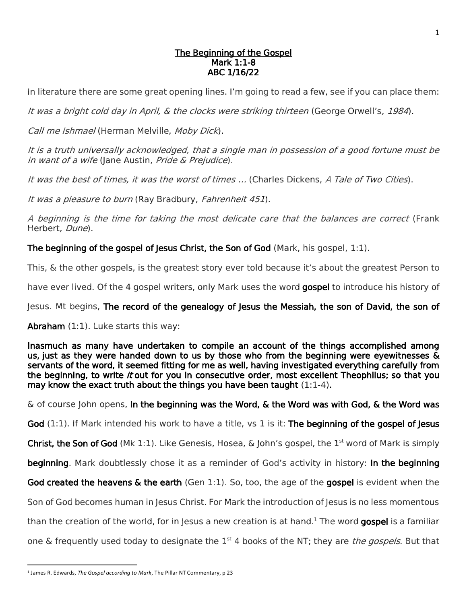## The Beginning of the Gospel Mark 1:1-8 ABC 1/16/22

In literature there are some great opening lines. I'm going to read a few, see if you can place them:

It was a bright cold day in April, & the clocks were striking thirteen (George Orwell's, 1984).

Call me Ishmael (Herman Melville, Moby Dick).

It is a truth universally acknowledged, that a single man in possession of a good fortune must be in want of a wife (Jane Austin, Pride & Prejudice).

It was the best of times, it was the worst of times … (Charles Dickens, A Tale of Two Cities).

It was a pleasure to burn (Ray Bradbury, Fahrenheit 451).

A beginning is the time for taking the most delicate care that the balances are correct (Frank Herbert, Dune).

The beginning of the gospel of Jesus Christ, the Son of God (Mark, his gospel,  $1:1$ ).

This, & the other gospels, is the greatest story ever told because it's about the greatest Person to

have ever lived. Of the 4 gospel writers, only Mark uses the word gospel to introduce his history of

Jesus. Mt begins, The record of the genealogy of Jesus the Messiah, the son of David, the son of

Abraham (1:1). Luke starts this way:

Inasmuch as many have undertaken to compile an account of the things accomplished among us, just as they were handed down to us by those who from the beginning were eyewitnesses & servants of the word, it seemed fitting for me as well, having investigated everything carefully from the beginning, to write it out for you in consecutive order, most excellent Theophilus; so that you may know the exact truth about the things you have been taught (1:1-4).

 $\&$  of course John opens, In the beginning was the Word,  $\&$  the Word was with God,  $\&$  the Word was

God (1:1). If Mark intended his work to have a title, vs 1 is it: The beginning of the gospel of Jesus

**Christ, the Son of God** (Mk 1:1). Like Genesis, Hosea, & John's gospel, the 1<sup>st</sup> word of Mark is simply

beginning. Mark doubtlessly chose it as a reminder of God's activity in history: In the beginning

God created the heavens & the earth (Gen 1:1). So, too, the age of the gospel is evident when the

Son of God becomes human in Jesus Christ. For Mark the introduction of Jesus is no less momentous

than the creation of the world, for in Jesus a new creation is at hand.<sup>1</sup> The word **gospel** is a familiar

one & frequently used today to designate the 1<sup>st</sup> 4 books of the NT; they are *the gospels*. But that

 $\overline{a}$ 

<sup>&</sup>lt;sup>1</sup> James R. Edwards, *The Gospel according to Mark*, The Pillar NT Commentary, p 23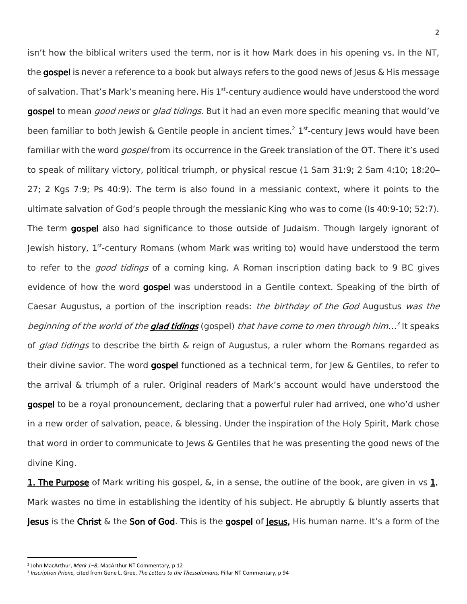isn't how the biblical writers used the term, nor is it how Mark does in his opening vs. In the NT, the gospel is never a reference to a book but always refers to the good news of lesus & His message of salvation. That's Mark's meaning here. His 1<sup>st</sup>-century audience would have understood the word gospel to mean *good news* or *glad tidings*. But it had an even more specific meaning that would've been familiar to both Jewish & Gentile people in ancient times.<sup>2</sup> 1<sup>st</sup>-century Jews would have been familiar with the word *gospel* from its occurrence in the Greek translation of the OT. There it's used to speak of military victory, political triumph, or physical rescue (1 Sam 31:9; 2 Sam 4:10; 18:20– 27; 2 Kgs 7:9; Ps 40:9). The term is also found in a messianic context, where it points to the ultimate salvation of God's people through the messianic King who was to come (Is 40:9-10; 52:7). The term gospel also had significance to those outside of Judaism. Though largely ignorant of Jewish history, 1<sup>st</sup>-century Romans (whom Mark was writing to) would have understood the term to refer to the *good tidings* of a coming king. A Roman inscription dating back to 9 BC gives evidence of how the word **gospel** was understood in a Gentile context. Speaking of the birth of Caesar Augustus, a portion of the inscription reads: *the birthday of the God* Augustus was the *beginning of the world of the glad tidings* (gospel) *that have come to men through him...<sup>3</sup> It speaks* of *glad tidings* to describe the birth & reign of Augustus, a ruler whom the Romans regarded as their divine savior. The word gospel functioned as a technical term, for Jew & Gentiles, to refer to the arrival & triumph of a ruler. Original readers of Mark's account would have understood the gospel to be a royal pronouncement, declaring that a powerful ruler had arrived, one who'd usher in a new order of salvation, peace, & blessing. Under the inspiration of the Holy Spirit, Mark chose that word in order to communicate to Jews & Gentiles that he was presenting the good news of the divine King.

**1. The Purpose** of Mark writing his gospel,  $\&\infty$ , in a sense, the outline of the book, are given in vs 1. Mark wastes no time in establishing the identity of his subject. He abruptly & bluntly asserts that Jesus is the Christ & the Son of God. This is the gospel of Jesus, His human name. It's a form of the

<sup>2</sup> John MacArthur, *Mark 1–8*, MacArthur NT Commentary, p 12

<sup>3</sup> *Inscription Priene,* cited from Gene L. Gree, *The Letters to the Thessalonians,* Pillar NT Commentary, p 94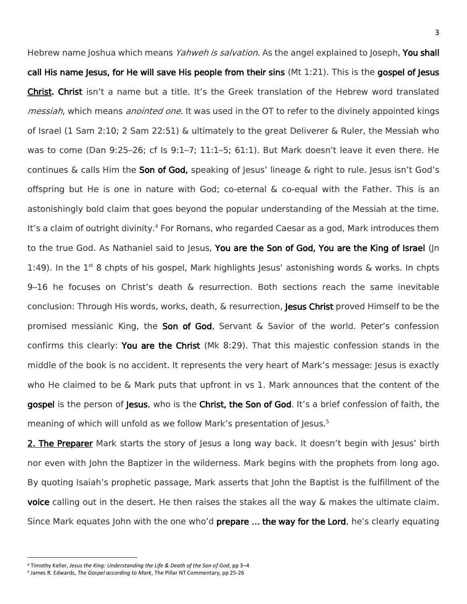Hebrew name Joshua which means *Yahweh is salvation.* As the angel explained to Joseph, **You shall** call His name Jesus, for He will save His people from their sins  $(Mt 1:21)$ . This is the gospel of Jesus Christ. Christ isn't a name but a title. It's the Greek translation of the Hebrew word translated messiah, which means anointed one. It was used in the OT to refer to the divinely appointed kings of Israel (1 Sam 2:10; 2 Sam 22:51) & ultimately to the great Deliverer & Ruler, the Messiah who was to come (Dan 9:25–26; cf Is 9:1–7; 11:1–5; 61:1). But Mark doesn't leave it even there. He continues  $\&$  calls Him the **Son of God,** speaking of Jesus' lineage  $\&$  right to rule. Jesus isn't God's offspring but He is one in nature with God; co-eternal & co-equal with the Father. This is an astonishingly bold claim that goes beyond the popular understanding of the Messiah at the time. It's a claim of outright divinity.<sup>4</sup> For Romans, who regarded Caesar as a god, Mark introduces them to the true God. As Nathaniel said to Jesus, You are the Son of God, You are the King of Israel (Jn 1:49). In the  $1^{st}$  8 chpts of his gospel, Mark highlights Jesus' astonishing words & works. In chpts 9–16 he focuses on Christ's death & resurrection. Both sections reach the same inevitable conclusion: Through His words, works, death, & resurrection, Jesus Christ proved Himself to be the promised messianic King, the **Son of God**, Servant & Savior of the world. Peter's confession confirms this clearly: You are the Christ (Mk 8:29). That this majestic confession stands in the middle of the book is no accident. It represents the very heart of Mark's message: Jesus is exactly who He claimed to be & Mark puts that upfront in vs 1. Mark announces that the content of the gospel is the person of Jesus, who is the Christ, the Son of God. It's a brief confession of faith, the meaning of which will unfold as we follow Mark's presentation of Jesus.<sup>5</sup>

2. The Preparer Mark starts the story of Jesus a long way back. It doesn't begin with Jesus' birth nor even with John the Baptizer in the wilderness. Mark begins with the prophets from long ago. By quoting Isaiah's prophetic passage, Mark asserts that John the Baptist is the fulfillment of the voice calling out in the desert. He then raises the stakes all the way & makes the ultimate claim. Since Mark equates John with the one who'd **prepare ... the way for the Lord**, he's clearly equating

<sup>4</sup> Timothy Keller, *Jesus the King: Understanding the Life & Death of the Son of God*, pp 3–4

<sup>5</sup> James R. Edwards, *The Gospel according to Mark*, The Pillar NT Commentary, pp 25-26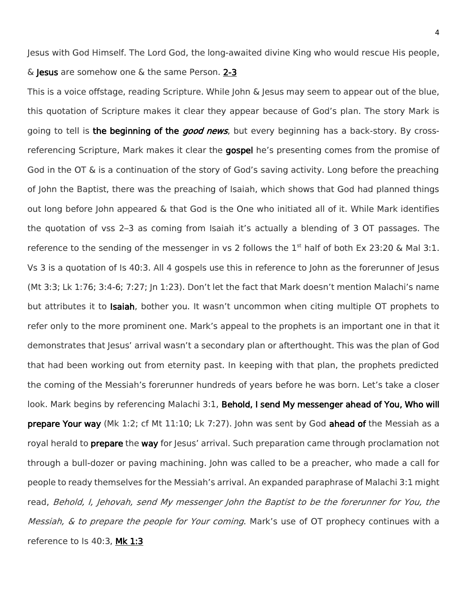Jesus with God Himself. The Lord God, the long-awaited divine King who would rescue His people, & Jesus are somehow one & the same Person. 2-3

This is a voice offstage, reading Scripture. While John & Jesus may seem to appear out of the blue, this quotation of Scripture makes it clear they appear because of God's plan. The story Mark is going to tell is the beginning of the *good news*, but every beginning has a back-story. By crossreferencing Scripture, Mark makes it clear the gospel he's presenting comes from the promise of God in the OT & is a continuation of the story of God's saving activity. Long before the preaching of John the Baptist, there was the preaching of Isaiah, which shows that God had planned things out long before John appeared & that God is the One who initiated all of it. While Mark identifies the quotation of vss 2–3 as coming from Isaiah it's actually a blending of 3 OT passages. The reference to the sending of the messenger in vs 2 follows the  $1<sup>st</sup>$  half of both Ex 23:20 & Mal 3:1. Vs 3 is a quotation of Is 40:3. All 4 gospels use this in reference to John as the forerunner of Jesus (Mt 3:3; Lk 1:76; 3:4-6; 7:27; Jn 1:23). Don't let the fact that Mark doesn't mention Malachi's name but attributes it to Isaiah, bother you. It wasn't uncommon when citing multiple OT prophets to refer only to the more prominent one. Mark's appeal to the prophets is an important one in that it demonstrates that Jesus' arrival wasn't a secondary plan or afterthought. This was the plan of God that had been working out from eternity past. In keeping with that plan, the prophets predicted the coming of the Messiah's forerunner hundreds of years before he was born. Let's take a closer look. Mark begins by referencing Malachi 3:1, Behold, I send My messenger ahead of You, Who will prepare Your way (Mk 1:2; cf Mt 11:10; Lk 7:27). John was sent by God ahead of the Messiah as a royal herald to **prepare** the way for Jesus' arrival. Such preparation came through proclamation not through a bull-dozer or paving machining. John was called to be a preacher, who made a call for people to ready themselves for the Messiah's arrival. An expanded paraphrase of Malachi 3:1 might read, Behold, I, Jehovah, send My messenger John the Baptist to be the forerunner for You, the Messiah, & to prepare the people for Your coming. Mark's use of OT prophecy continues with a reference to Is 40:3, Mk 1:3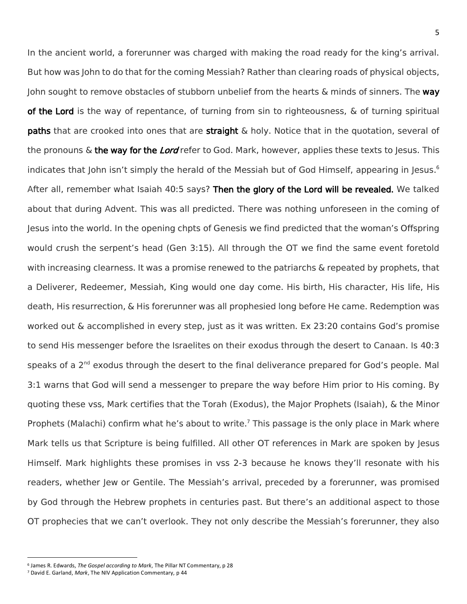In the ancient world, a forerunner was charged with making the road ready for the king's arrival. But how was John to do that for the coming Messiah? Rather than clearing roads of physical objects, John sought to remove obstacles of stubborn unbelief from the hearts  $\&$  minds of sinners. The way of the Lord is the way of repentance, of turning from sin to righteousness, & of turning spiritual **paths** that are crooked into ones that are **straight**  $\&$  holy. Notice that in the quotation, several of the pronouns  $\&$  the way for the Lord refer to God. Mark, however, applies these texts to Jesus. This indicates that John isn't simply the herald of the Messiah but of God Himself, appearing in Jesus. 6 After all, remember what Isaiah 40:5 says? Then the glory of the Lord will be revealed. We talked about that during Advent. This was all predicted. There was nothing unforeseen in the coming of Jesus into the world. In the opening chpts of Genesis we find predicted that the woman's Offspring would crush the serpent's head (Gen 3:15). All through the OT we find the same event foretold with increasing clearness. It was a promise renewed to the patriarchs & repeated by prophets, that a Deliverer, Redeemer, Messiah, King would one day come. His birth, His character, His life, His death, His resurrection, & His forerunner was all prophesied long before He came. Redemption was worked out & accomplished in every step, just as it was written. Ex 23:20 contains God's promise to send His messenger before the Israelites on their exodus through the desert to Canaan. Is 40:3 speaks of a 2<sup>nd</sup> exodus through the desert to the final deliverance prepared for God's people. Mal 3:1 warns that God will send a messenger to prepare the way before Him prior to His coming. By quoting these vss, Mark certifies that the Torah (Exodus), the Major Prophets (Isaiah), & the Minor Prophets (Malachi) confirm what he's about to write.<sup>7</sup> This passage is the only place in Mark where Mark tells us that Scripture is being fulfilled. All other OT references in Mark are spoken by Jesus Himself. Mark highlights these promises in vss 2-3 because he knows they'll resonate with his readers, whether Jew or Gentile. The Messiah's arrival, preceded by a forerunner, was promised by God through the Hebrew prophets in centuries past. But there's an additional aspect to those OT prophecies that we can't overlook. They not only describe the Messiah's forerunner, they also

<sup>6</sup> James R. Edwards, *The Gospel according to Mark*, The Pillar NT Commentary, p 28

<sup>7</sup> David E. Garland, *Mark*, The NIV Application Commentary, p 44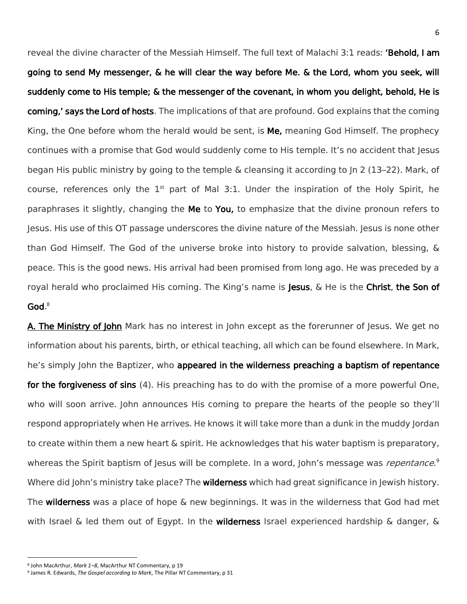reveal the divine character of the Messiah Himself. The full text of Malachi 3:1 reads: 'Behold, I am going to send My messenger, & he will clear the way before Me. & the Lord, whom you seek, will suddenly come to His temple; & the messenger of the covenant, in whom you delight, behold, He is coming,' says the Lord of hosts. The implications of that are profound. God explains that the coming King, the One before whom the herald would be sent, is **Me,** meaning God Himself. The prophecy continues with a promise that God would suddenly come to His temple. It's no accident that Jesus began His public ministry by going to the temple & cleansing it according to Jn 2 (13–22). Mark, of course, references only the  $1<sup>st</sup>$  part of Mal 3:1. Under the inspiration of the Holy Spirit, he paraphrases it slightly, changing the Me to You, to emphasize that the divine pronoun refers to Jesus. His use of this OT passage underscores the divine nature of the Messiah. Jesus is none other than God Himself. The God of the universe broke into history to provide salvation, blessing, & peace. This is the good news. His arrival had been promised from long ago. He was preceded by a royal herald who proclaimed His coming. The King's name is Jesus, & He is the Christ, the Son of God. 8

A. The Ministry of John Mark has no interest in John except as the forerunner of Jesus. We get no information about his parents, birth, or ethical teaching, all which can be found elsewhere. In Mark, he's simply John the Baptizer, who appeared in the wilderness preaching a baptism of repentance for the forgiveness of sins (4). His preaching has to do with the promise of a more powerful One, who will soon arrive. John announces His coming to prepare the hearts of the people so they'll respond appropriately when He arrives. He knows it will take more than a dunk in the muddy Jordan to create within them a new heart & spirit. He acknowledges that his water baptism is preparatory, whereas the Spirit baptism of Jesus will be complete. In a word, John's message was *repentance*.<sup>9</sup> Where did John's ministry take place? The **wilderness** which had great significance in Jewish history. The wilderness was a place of hope & new beginnings. It was in the wilderness that God had met with Israel & led them out of Egypt. In the **wilderness** Israel experienced hardship & danger, &

<sup>8</sup> John MacArthur, *Mark 1–8*, MacArthur NT Commentary, p 19

<sup>9</sup> James R. Edwards, *The Gospel according to Mark*, The Pillar NT Commentary, p 31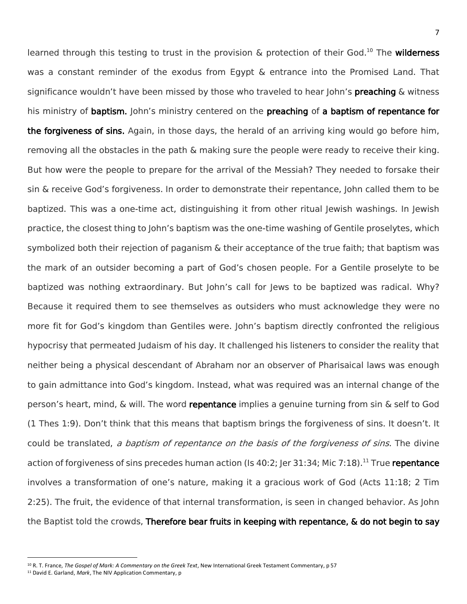learned through this testing to trust in the provision & protection of their God.<sup>10</sup> The wilderness was a constant reminder of the exodus from Egypt & entrance into the Promised Land. That significance wouldn't have been missed by those who traveled to hear John's **preaching** & witness his ministry of baptism. John's ministry centered on the preaching of a baptism of repentance for the forgiveness of sins. Again, in those days, the herald of an arriving king would go before him, removing all the obstacles in the path & making sure the people were ready to receive their king. But how were the people to prepare for the arrival of the Messiah? They needed to forsake their sin & receive God's forgiveness. In order to demonstrate their repentance, John called them to be baptized. This was a one-time act, distinguishing it from other ritual Jewish washings. In Jewish practice, the closest thing to John's baptism was the one-time washing of Gentile proselytes, which symbolized both their rejection of paganism & their acceptance of the true faith; that baptism was the mark of an outsider becoming a part of God's chosen people. For a Gentile proselyte to be baptized was nothing extraordinary. But John's call for Jews to be baptized was radical. Why? Because it required them to see themselves as outsiders who must acknowledge they were no more fit for God's kingdom than Gentiles were. John's baptism directly confronted the religious hypocrisy that permeated Judaism of his day. It challenged his listeners to consider the reality that neither being a physical descendant of Abraham nor an observer of Pharisaical laws was enough to gain admittance into God's kingdom. Instead, what was required was an internal change of the person's heart, mind, & will. The word repentance implies a genuine turning from sin & self to God (1 Thes 1:9). Don't think that this means that baptism brings the forgiveness of sins. It doesn't. It could be translated, a baptism of repentance on the basis of the forgiveness of sins. The divine action of forgiveness of sins precedes human action (Is 40:2; Jer 31:34; Mic 7:18).<sup>11</sup> True repentance involves a transformation of one's nature, making it a gracious work of God (Acts 11:18; 2 Tim 2:25). The fruit, the evidence of that internal transformation, is seen in changed behavior. As John the Baptist told the crowds, Therefore bear fruits in keeping with repentance, & do not begin to say

<sup>10</sup> R. T. France, *The Gospel of Mark: A Commentary on the Greek Text*, New International Greek Testament Commentary, p 57

<sup>11</sup> David E. Garland, *Mark*, The NIV Application Commentary, p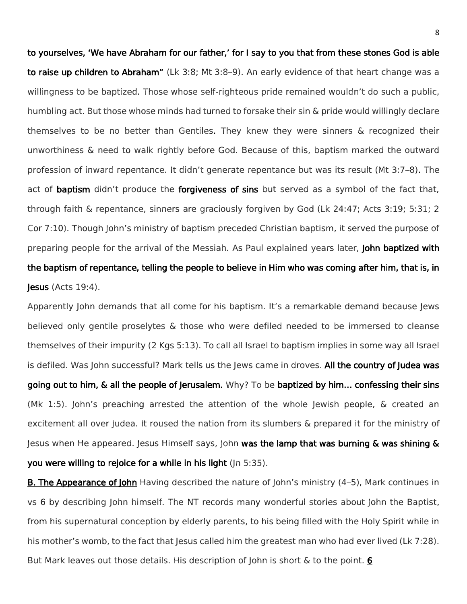to yourselves, 'We have Abraham for our father,' for I say to you that from these stones God is able to raise up children to Abraham" (Lk 3:8; Mt 3:8-9). An early evidence of that heart change was a willingness to be baptized. Those whose self-righteous pride remained wouldn't do such a public, humbling act. But those whose minds had turned to forsake their sin & pride would willingly declare themselves to be no better than Gentiles. They knew they were sinners & recognized their unworthiness & need to walk rightly before God. Because of this, baptism marked the outward profession of inward repentance. It didn't generate repentance but was its result (Mt 3:7–8). The act of **baptism** didn't produce the **forgiveness of sins** but served as a symbol of the fact that, through faith & repentance, sinners are graciously forgiven by God (Lk 24:47; Acts 3:19; 5:31; 2 Cor 7:10). Though John's ministry of baptism preceded Christian baptism, it served the purpose of preparing people for the arrival of the Messiah. As Paul explained years later, John baptized with the baptism of repentance, telling the people to believe in Him who was coming after him, that is, in Jesus (Acts 19:4).

Apparently John demands that all come for his baptism. It's a remarkable demand because Jews believed only gentile proselytes & those who were defiled needed to be immersed to cleanse themselves of their impurity (2 Kgs 5:13). To call all Israel to baptism implies in some way all Israel is defiled. Was John successful? Mark tells us the Jews came in droves. All the country of Judea was going out to him, & all the people of Jerusalem. Why? To be baptized by him… confessing their sins (Mk 1:5). John's preaching arrested the attention of the whole Jewish people, & created an excitement all over Judea. It roused the nation from its slumbers & prepared it for the ministry of Jesus when He appeared. Jesus Himself says, John was the lamp that was burning  $\&$  was shining  $\&$ you were willing to rejoice for a while in his light (Jn 5:35).

B. The Appearance of John Having described the nature of John's ministry (4–5), Mark continues in vs 6 by describing John himself. The NT records many wonderful stories about John the Baptist, from his supernatural conception by elderly parents, to his being filled with the Holy Spirit while in his mother's womb, to the fact that Jesus called him the greatest man who had ever lived (Lk 7:28). But Mark leaves out those details. His description of John is short & to the point. 6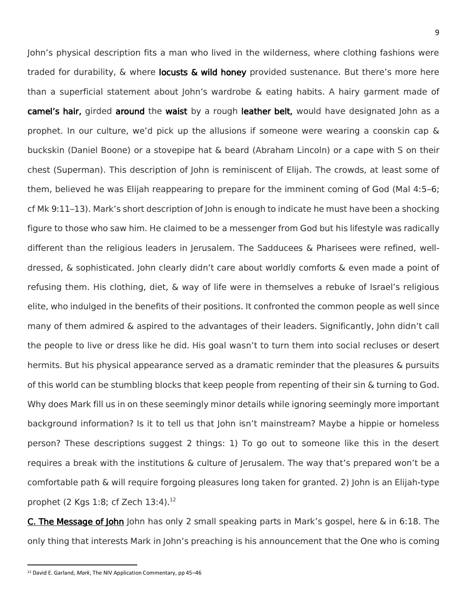John's physical description fits a man who lived in the wilderness, where clothing fashions were traded for durability, & where locusts & wild honey provided sustenance. But there's more here than a superficial statement about John's wardrobe & eating habits. A hairy garment made of camel's hair, girded around the waist by a rough leather belt, would have designated John as a prophet. In our culture, we'd pick up the allusions if someone were wearing a coonskin cap & buckskin (Daniel Boone) or a stovepipe hat & beard (Abraham Lincoln) or a cape with S on their chest (Superman). This description of John is reminiscent of Elijah. The crowds, at least some of them, believed he was Elijah reappearing to prepare for the imminent coming of God (Mal 4:5–6; cf Mk 9:11–13). Mark's short description of John is enough to indicate he must have been a shocking figure to those who saw him. He claimed to be a messenger from God but his lifestyle was radically different than the religious leaders in Jerusalem. The Sadducees & Pharisees were refined, welldressed, & sophisticated. John clearly didn't care about worldly comforts & even made a point of refusing them. His clothing, diet, & way of life were in themselves a rebuke of Israel's religious elite, who indulged in the benefits of their positions. It confronted the common people as well since many of them admired & aspired to the advantages of their leaders. Significantly, John didn't call the people to live or dress like he did. His goal wasn't to turn them into social recluses or desert hermits. But his physical appearance served as a dramatic reminder that the pleasures & pursuits of this world can be stumbling blocks that keep people from repenting of their sin & turning to God. Why does Mark fill us in on these seemingly minor details while ignoring seemingly more important background information? Is it to tell us that John isn't mainstream? Maybe a hippie or homeless person? These descriptions suggest 2 things: 1) To go out to someone like this in the desert requires a break with the institutions & culture of Jerusalem. The way that's prepared won't be a comfortable path & will require forgoing pleasures long taken for granted. 2) John is an Elijah-type prophet (2 Kgs 1:8; cf Zech  $13:4$ ).<sup>12</sup>

C. The Message of John John has only 2 small speaking parts in Mark's gospel, here & in 6:18. The only thing that interests Mark in John's preaching is his announcement that the One who is coming

 $\overline{a}$ 

<sup>12</sup> David E. Garland, *Mark*, The NIV Application Commentary, pp 45–46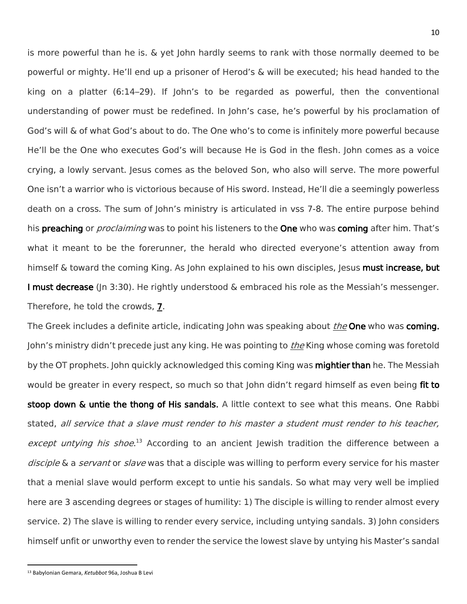is more powerful than he is. & yet John hardly seems to rank with those normally deemed to be powerful or mighty. He'll end up a prisoner of Herod's & will be executed; his head handed to the king on a platter (6:14–29). If John's to be regarded as powerful, then the conventional understanding of power must be redefined. In John's case, he's powerful by his proclamation of God's will & of what God's about to do. The One who's to come is infinitely more powerful because He'll be the One who executes God's will because He is God in the flesh. John comes as a voice crying, a lowly servant. Jesus comes as the beloved Son, who also will serve. The more powerful One isn't a warrior who is victorious because of His sword. Instead, He'll die a seemingly powerless death on a cross. The sum of John's ministry is articulated in vss 7-8. The entire purpose behind his **preaching** or *proclaiming* was to point his listeners to the **One** who was **coming** after him. That's what it meant to be the forerunner, the herald who directed everyone's attention away from himself & toward the coming King. As John explained to his own disciples, Jesus **must increase, but** I must decrease (In 3:30). He rightly understood & embraced his role as the Messiah's messenger. Therefore, he told the crowds, 7.

The Greek includes a definite article, indicating John was speaking about *the* One who was coming. John's ministry didn't precede just any king. He was pointing to *the* King whose coming was foretold by the OT prophets. John quickly acknowledged this coming King was mightier than he. The Messiah would be greater in every respect, so much so that John didn't regard himself as even being fit to stoop down & untie the thong of His sandals. A little context to see what this means. One Rabbi stated, all service that a slave must render to his master a student must render to his teacher, except untying his shoe.<sup>13</sup> According to an ancient Jewish tradition the difference between a disciple & a servant or slave was that a disciple was willing to perform every service for his master that a menial slave would perform except to untie his sandals. So what may very well be implied here are 3 ascending degrees or stages of humility: 1) The disciple is willing to render almost every service. 2) The slave is willing to render every service, including untying sandals. 3) John considers himself unfit or unworthy even to render the service the lowest slave by untying his Master's sandal

 $\overline{a}$ 

<sup>13</sup> Babylonian Gemara, *Ketubbot* 96a, Joshua B Levi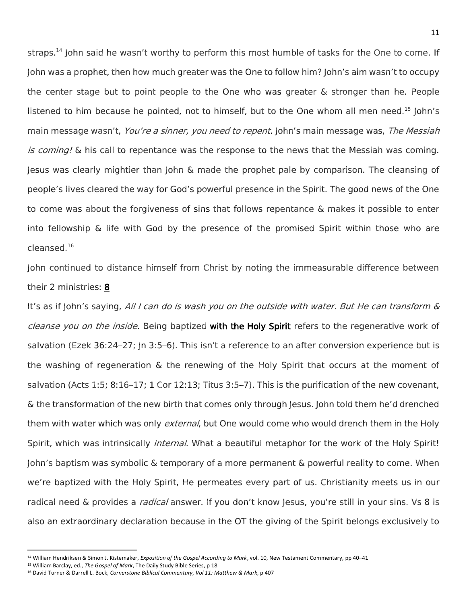straps.<sup>14</sup> John said he wasn't worthy to perform this most humble of tasks for the One to come. If John was a prophet, then how much greater was the One to follow him? John's aim wasn't to occupy the center stage but to point people to the One who was greater & stronger than he. People listened to him because he pointed, not to himself, but to the One whom all men need.<sup>15</sup> John's main message wasn't, You're a sinner, you need to repent. John's main message was, The Messiah is coming! & his call to repentance was the response to the news that the Messiah was coming. Jesus was clearly mightier than John & made the prophet pale by comparison. The cleansing of people's lives cleared the way for God's powerful presence in the Spirit. The good news of the One to come was about the forgiveness of sins that follows repentance & makes it possible to enter into fellowship & life with God by the presence of the promised Spirit within those who are cleansed.<sup>16</sup>

John continued to distance himself from Christ by noting the immeasurable difference between their 2 ministries: 8

It's as if John's saying, All I can do is wash you on the outside with water. But He can transform & cleanse you on the inside. Being baptized with the Holy Spirit refers to the regenerative work of salvation (Ezek 36:24–27; In 3:5–6). This isn't a reference to an after conversion experience but is the washing of regeneration & the renewing of the Holy Spirit that occurs at the moment of salvation (Acts 1:5; 8:16–17; 1 Cor 12:13; Titus 3:5–7). This is the purification of the new covenant, & the transformation of the new birth that comes only through Jesus. John told them he'd drenched them with water which was only *external*, but One would come who would drench them in the Holy Spirit, which was intrinsically *internal*. What a beautiful metaphor for the work of the Holy Spirit! John's baptism was symbolic & temporary of a more permanent & powerful reality to come. When we're baptized with the Holy Spirit, He permeates every part of us. Christianity meets us in our radical need & provides a *radical* answer. If you don't know Jesus, you're still in your sins. Vs 8 is also an extraordinary declaration because in the OT the giving of the Spirit belongs exclusively to

<sup>14</sup> William Hendriksen & Simon J. Kistemaker, *Exposition of the Gospel According to Mark*, vol. 10, New Testament Commentary, pp 40–41

<sup>15</sup> William Barclay, ed., *The Gospel of Mark*, The Daily Study Bible Series, p 18

<sup>16</sup> David Turner & Darrell L. Bock, *Cornerstone Biblical Commentary, Vol 11: Matthew & Mark*, p 407